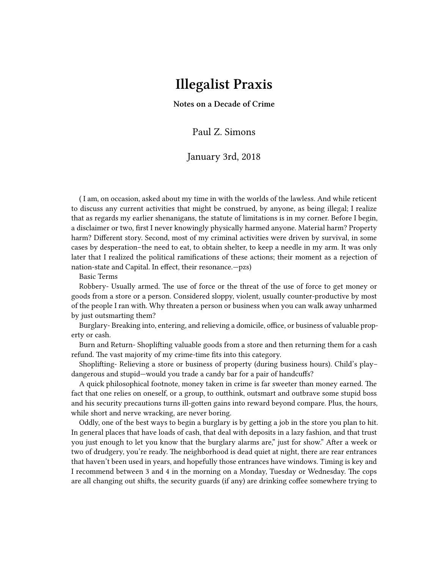## **Illegalist Praxis**

**Notes on a Decade of Crime**

Paul Z. Simons

## January 3rd, 2018

( I am, on occasion, asked about my time in with the worlds of the lawless. And while reticent to discuss any current activities that might be construed, by anyone, as being illegal; I realize that as regards my earlier shenanigans, the statute of limitations is in my corner. Before I begin, a disclaimer or two, first I never knowingly physically harmed anyone. Material harm? Property harm? Different story. Second, most of my criminal activities were driven by survival, in some cases by desperation–the need to eat, to obtain shelter, to keep a needle in my arm. It was only later that I realized the political ramifications of these actions; their moment as a rejection of nation-state and Capital. In effect, their resonance.—pzs)

Basic Terms

Robbery- Usually armed. The use of force or the threat of the use of force to get money or goods from a store or a person. Considered sloppy, violent, usually counter-productive by most of the people I ran with. Why threaten a person or business when you can walk away unharmed by just outsmarting them?

Burglary- Breaking into, entering, and relieving a domicile, office, or business of valuable property or cash.

Burn and Return- Shoplifting valuable goods from a store and then returning them for a cash refund. The vast majority of my crime-time fits into this category.

Shoplifting- Relieving a store or business of property (during business hours). Child's play– dangerous and stupid—would you trade a candy bar for a pair of handcuffs?

A quick philosophical footnote, money taken in crime is far sweeter than money earned. The fact that one relies on oneself, or a group, to outthink, outsmart and outbrave some stupid boss and his security precautions turns ill-gotten gains into reward beyond compare. Plus, the hours, while short and nerve wracking, are never boring.

Oddly, one of the best ways to begin a burglary is by getting a job in the store you plan to hit. In general places that have loads of cash, that deal with deposits in a lazy fashion, and that trust you just enough to let you know that the burglary alarms are," just for show." After a week or two of drudgery, you're ready. The neighborhood is dead quiet at night, there are rear entrances that haven't been used in years, and hopefully those entrances have windows. Timing is key and I recommend between 3 and 4 in the morning on a Monday, Tuesday or Wednesday. The cops are all changing out shifts, the security guards (if any) are drinking coffee somewhere trying to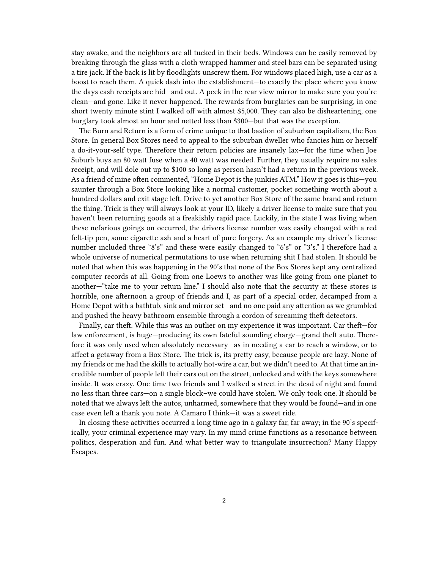stay awake, and the neighbors are all tucked in their beds. Windows can be easily removed by breaking through the glass with a cloth wrapped hammer and steel bars can be separated using a tire jack. If the back is lit by floodlights unscrew them. For windows placed high, use a car as a boost to reach them. A quick dash into the establishment—to exactly the place where you know the days cash receipts are hid—and out. A peek in the rear view mirror to make sure you you're clean—and gone. Like it never happened. The rewards from burglaries can be surprising, in one short twenty minute stint I walked off with almost \$5,000. They can also be disheartening, one burglary took almost an hour and netted less than \$300—but that was the exception.

The Burn and Return is a form of crime unique to that bastion of suburban capitalism, the Box Store. In general Box Stores need to appeal to the suburban dweller who fancies him or herself a do-it-your-self type. Therefore their return policies are insanely lax—for the time when Joe Suburb buys an 80 watt fuse when a 40 watt was needed. Further, they usually require no sales receipt, and will dole out up to \$100 so long as person hasn't had a return in the previous week. As a friend of mine often commented, "Home Depot is the junkies ATM." How it goes is this—you saunter through a Box Store looking like a normal customer, pocket something worth about a hundred dollars and exit stage left. Drive to yet another Box Store of the same brand and return the thing. Trick is they will always look at your ID, likely a driver license to make sure that you haven't been returning goods at a freakishly rapid pace. Luckily, in the state I was living when these nefarious goings on occurred, the drivers license number was easily changed with a red felt-tip pen, some cigarette ash and a heart of pure forgery. As an example my driver's license number included three "8's" and these were easily changed to "6's" or "3's." I therefore had a whole universe of numerical permutations to use when returning shit I had stolen. It should be noted that when this was happening in the 90's that none of the Box Stores kept any centralized computer records at all. Going from one Loews to another was like going from one planet to another—"take me to your return line." I should also note that the security at these stores is horrible, one afternoon a group of friends and I, as part of a special order, decamped from a Home Depot with a bathtub, sink and mirror set—and no one paid any attention as we grumbled and pushed the heavy bathroom ensemble through a cordon of screaming theft detectors.

Finally, car theft. While this was an outlier on my experience it was important. Car theft—for law enforcement, is huge—producing its own fateful sounding charge—grand theft auto. Therefore it was only used when absolutely necessary—as in needing a car to reach a window, or to affect a getaway from a Box Store. The trick is, its pretty easy, because people are lazy. None of my friends or me had the skills to actually hot-wire a car, but we didn't need to. At that time an incredible number of people left their cars out on the street, unlocked and with the keys somewhere inside. It was crazy. One time two friends and I walked a street in the dead of night and found no less than three cars—on a single block–we could have stolen. We only took one. It should be noted that we always left the autos, unharmed, somewhere that they would be found—and in one case even left a thank you note. A Camaro I think—it was a sweet ride.

In closing these activities occurred a long time ago in a galaxy far, far away; in the 90's specifically, your criminal experience may vary. In my mind crime functions as a resonance between politics, desperation and fun. And what better way to triangulate insurrection? Many Happy Escapes.